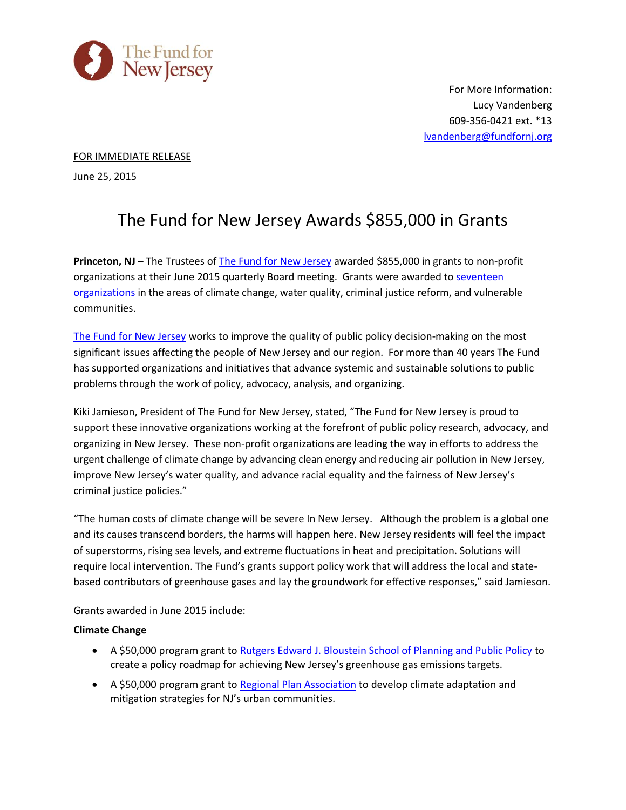

For More Information: Lucy Vandenberg 609-356-0421 ext. \*13 [lvandenberg@fundfornj.org](mailto:lvandenberg@fundfornj.org)

## FOR IMMEDIATE RELEASE

June 25, 2015

# The Fund for New Jersey Awards \$855,000 in Grants

**Princeton, NJ –** The Trustees of **[The Fund for New Jersey](http://www.fundfornj.org/)** awarded \$855,000 in grants to non-profit organizations at their June 2015 quarterly Board meeting. Grants were awarded to [seventeen](http://fundfornj.org/grants-awarded/2015)  [organizations](http://fundfornj.org/grants-awarded/2015) in the areas of climate change, water quality, criminal justice reform, and vulnerable communities.

[The Fund for New Jersey](http://www.fundfornj.org/) works to improve the quality of public policy decision-making on the most significant issues affecting the people of New Jersey and our region. For more than 40 years The Fund has supported organizations and initiatives that advance systemic and sustainable solutions to public problems through the work of policy, advocacy, analysis, and organizing.

Kiki Jamieson, President of The Fund for New Jersey, stated, "The Fund for New Jersey is proud to support these innovative organizations working at the forefront of public policy research, advocacy, and organizing in New Jersey. These non-profit organizations are leading the way in efforts to address the urgent challenge of climate change by advancing clean energy and reducing air pollution in New Jersey, improve New Jersey's water quality, and advance racial equality and the fairness of New Jersey's criminal justice policies."

"The human costs of climate change will be severe In New Jersey. Although the problem is a global one and its causes transcend borders, the harms will happen here. New Jersey residents will feel the impact of superstorms, rising sea levels, and extreme fluctuations in heat and precipitation. Solutions will require local intervention. The Fund's grants support policy work that will address the local and statebased contributors of greenhouse gases and lay the groundwork for effective responses," said Jamieson.

Grants awarded in June 2015 include:

## **Climate Change**

- A \$50,000 program grant t[o Rutgers Edward J. Bloustein School of Planning and Public Policy](http://bloustein.rutgers.edu/) to create a policy roadmap for achieving New Jersey's greenhouse gas emissions targets.
- A \$50,000 program grant t[o Regional Plan Association](http://www.rpa.org/) to develop climate adaptation and mitigation strategies for NJ's urban communities.